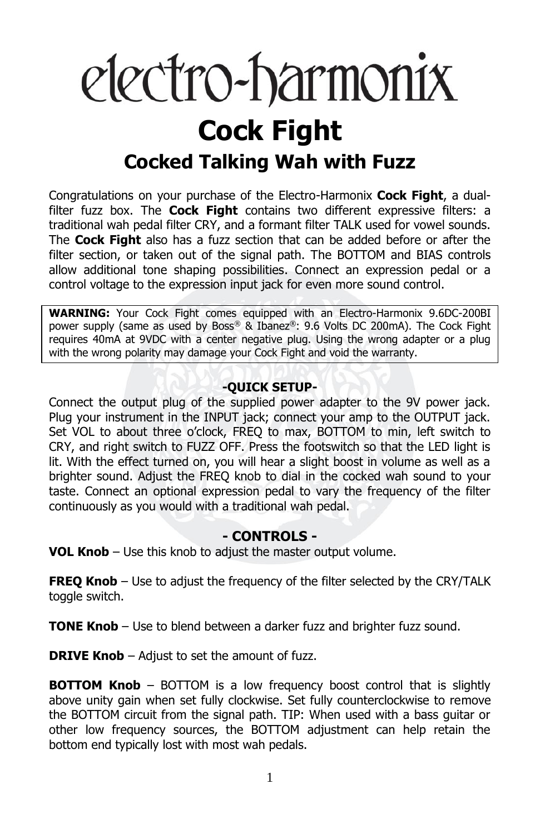# electro-harmonix **Cock Fight Cocked Talking Wah with Fuzz**

Congratulations on your purchase of the Electro-Harmonix **Cock Fight**, a dualfilter fuzz box. The **Cock Fight** contains two different expressive filters: a traditional wah pedal filter CRY, and a formant filter TALK used for vowel sounds. The **Cock Fight** also has a fuzz section that can be added before or after the filter section, or taken out of the signal path. The BOTTOM and BIAS controls allow additional tone shaping possibilities. Connect an expression pedal or a control voltage to the expression input jack for even more sound control.

**WARNING:** Your Cock Fight comes equipped with an Electro-Harmonix 9.6DC-200BI power supply (same as used by Boss® & Ibanez®: 9.6 Volts DC 200mA). The Cock Fight requires 40mA at 9VDC with a center negative plug. Using the wrong adapter or a plug with the wrong polarity may damage your Cock Fight and void the warranty.

### **-QUICK SETUP-**

Connect the output plug of the supplied power adapter to the 9V power jack. Plug your instrument in the INPUT jack; connect your amp to the OUTPUT jack. Set VOL to about three o'clock, FREQ to max, BOTTOM to min, left switch to CRY, and right switch to FUZZ OFF. Press the footswitch so that the LED light is lit. With the effect turned on, you will hear a slight boost in volume as well as a brighter sound. Adjust the FREQ knob to dial in the cocked wah sound to your taste. Connect an optional expression pedal to vary the frequency of the filter continuously as you would with a traditional wah pedal.

## **- CONTROLS -**

**VOL Knob** – Use this knob to adjust the master output volume.

**FREQ Knob** – Use to adjust the frequency of the filter selected by the CRY/TALK toggle switch.

**TONE Knob** – Use to blend between a darker fuzz and brighter fuzz sound.

**DRIVE Knob** – Adjust to set the amount of fuzz.

**BOTTOM Knob** – BOTTOM is a low frequency boost control that is slightly above unity gain when set fully clockwise. Set fully counterclockwise to remove the BOTTOM circuit from the signal path. TIP: When used with a bass guitar or other low frequency sources, the BOTTOM adjustment can help retain the bottom end typically lost with most wah pedals.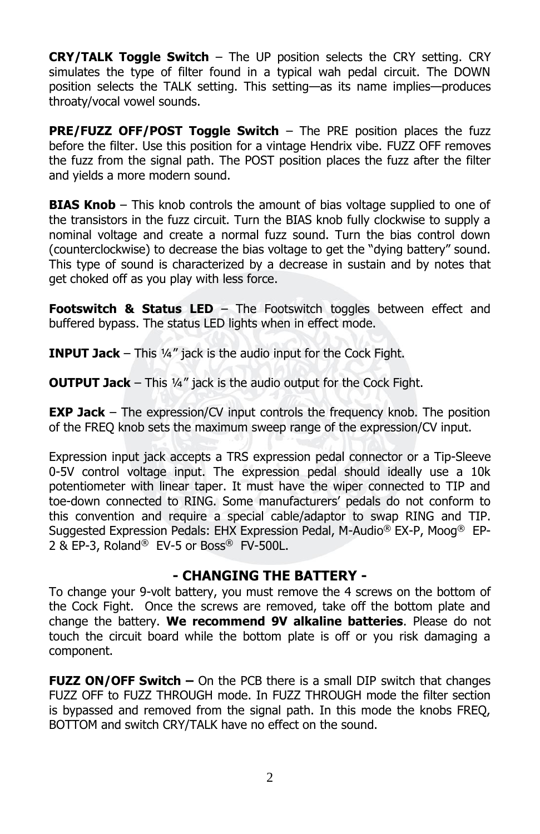**CRY/TALK Toggle Switch** – The UP position selects the CRY setting. CRY simulates the type of filter found in a typical wah pedal circuit. The DOWN position selects the TALK setting. This setting—as its name implies—produces throaty/vocal vowel sounds.

**PRE/FUZZ OFF/POST Toggle Switch** – The PRE position places the fuzz before the filter. Use this position for a vintage Hendrix vibe. FUZZ OFF removes the fuzz from the signal path. The POST position places the fuzz after the filter and yields a more modern sound.

**BIAS Knob** – This knob controls the amount of bias voltage supplied to one of the transistors in the fuzz circuit. Turn the BIAS knob fully clockwise to supply a nominal voltage and create a normal fuzz sound. Turn the bias control down (counterclockwise) to decrease the bias voltage to get the "dying battery" sound. This type of sound is characterized by a decrease in sustain and by notes that get choked off as you play with less force.

**Footswitch & Status LED** – The Footswitch toggles between effect and buffered bypass. The status LED lights when in effect mode.

**INPUT Jack** – This ¼" jack is the audio input for the Cock Fight.

**OUTPUT Jack** – This 1/4" jack is the audio output for the Cock Fight.

**EXP Jack** – The expression/CV input controls the frequency knob. The position of the FREQ knob sets the maximum sweep range of the expression/CV input.

Expression input jack accepts a TRS expression pedal connector or a Tip-Sleeve 0-5V control voltage input. The expression pedal should ideally use a 10k potentiometer with linear taper. It must have the wiper connected to TIP and toe-down connected to RING. Some manufacturers' pedals do not conform to this convention and require a special cable/adaptor to swap RING and TIP. Suggested Expression Pedals: EHX Expression Pedal, M-Audio® EX-P, Moog® EP-2 & EP-3, Roland® EV-5 or Boss® FV-500L.

## **- CHANGING THE BATTERY -**

To change your 9-volt battery, you must remove the 4 screws on the bottom of the Cock Fight. Once the screws are removed, take off the bottom plate and change the battery. **We recommend 9V alkaline batteries**. Please do not touch the circuit board while the bottom plate is off or you risk damaging a component.

**FUZZ ON/OFF Switch –** On the PCB there is a small DIP switch that changes FUZZ OFF to FUZZ THROUGH mode. In FUZZ THROUGH mode the filter section is bypassed and removed from the signal path. In this mode the knobs FREQ, BOTTOM and switch CRY/TALK have no effect on the sound.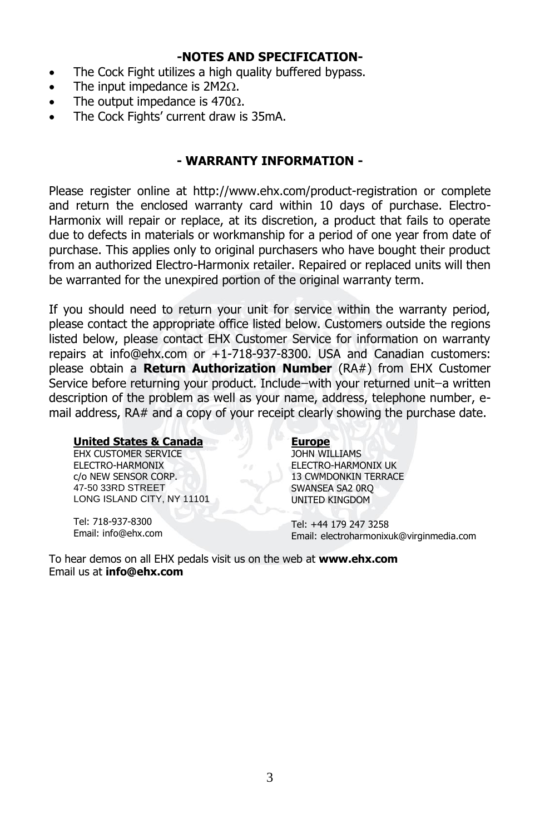#### **-NOTES AND SPECIFICATION-**

- The Cock Fight utilizes a high quality buffered bypass.
- The input impedance is  $2M2\Omega$ .
- The output impedance is  $470\Omega$ .
- The Cock Fights' current draw is 35mA.

## **- WARRANTY INFORMATION -**

Please register online at http://www.ehx.com/product-registration or complete and return the enclosed warranty card within 10 days of purchase. Electro-Harmonix will repair or replace, at its discretion, a product that fails to operate due to defects in materials or workmanship for a period of one year from date of purchase. This applies only to original purchasers who have bought their product from an authorized Electro-Harmonix retailer. Repaired or replaced units will then be warranted for the unexpired portion of the original warranty term.

If you should need to return your unit for service within the warranty period, please contact the appropriate office listed below. Customers outside the regions listed below, please contact EHX Customer Service for information on warranty repairs at info@ehx.com or +1-718-937-8300. USA and Canadian customers: please obtain a **Return Authorization Number** (RA#) from EHX Customer Service before returning your product. Include-with your returned unit-a written description of the problem as well as your name, address, telephone number, email address, RA# and a copy of your receipt clearly showing the purchase date.

#### **United States & Canada**

EHX CUSTOMER SERVICE ELECTRO-HARMONIX c/o NEW SENSOR CORP. 47-50 33RD STREET LONG ISLAND CITY, NY 11101

Tel: 718-937-8300 Email: info@ehx.com

#### **Europe**

JOHN WILLIAMS ELECTRO-HARMONIX UK 13 CWMDONKIN TERRACE SWANSEA SA2 0RQ UNITED KINGDOM

Tel: +44 179 247 3258 Email: electroharmonixuk@virginmedia.com

To hear demos on all EHX pedals visit us on the web at **www.ehx.com** Email us at **info@ehx.com**